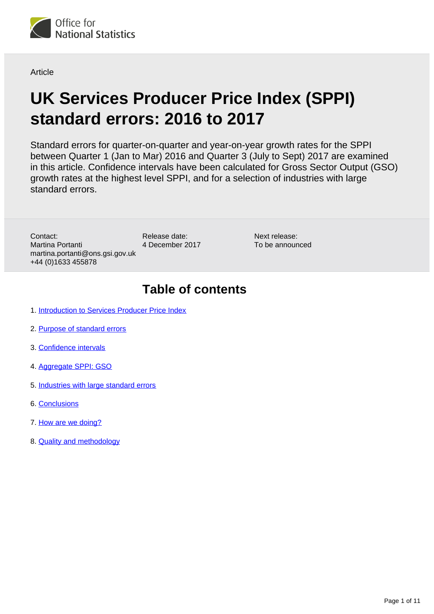

**Article** 

# **UK Services Producer Price Index (SPPI) standard errors: 2016 to 2017**

Standard errors for quarter-on-quarter and year-on-year growth rates for the SPPI between Quarter 1 (Jan to Mar) 2016 and Quarter 3 (July to Sept) 2017 are examined in this article. Confidence intervals have been calculated for Gross Sector Output (GSO) growth rates at the highest level SPPI, and for a selection of industries with large standard errors.

Contact: Martina Portanti martina.portanti@ons.gsi.gov.uk +44 (0)1633 455878

Release date: 4 December 2017 Next release: To be announced

## **Table of contents**

- 1. [Introduction to Services Producer Price Index](#page-1-0)
- 2. [Purpose of standard errors](#page-1-1)
- 3. [Confidence intervals](#page-1-2)
- 4. [Aggregate SPPI: GSO](#page-1-3)
- 5. [Industries with large standard errors](#page-4-0)
- 6. [Conclusions](#page-8-0)
- 7. [How are we doing?](#page-9-0)
- 8. [Quality and methodology](#page-9-1)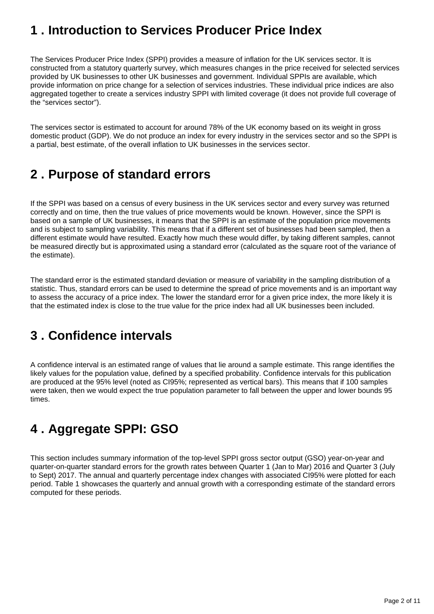## <span id="page-1-0"></span>**1 . Introduction to Services Producer Price Index**

The Services Producer Price Index (SPPI) provides a measure of inflation for the UK services sector. It is constructed from a statutory quarterly survey, which measures changes in the price received for selected services provided by UK businesses to other UK businesses and government. Individual SPPIs are available, which provide information on price change for a selection of services industries. These individual price indices are also aggregated together to create a services industry SPPI with limited coverage (it does not provide full coverage of the "services sector").

The services sector is estimated to account for around 78% of the UK economy based on its weight in gross domestic product (GDP). We do not produce an index for every industry in the services sector and so the SPPI is a partial, best estimate, of the overall inflation to UK businesses in the services sector.

## <span id="page-1-1"></span>**2 . Purpose of standard errors**

If the SPPI was based on a census of every business in the UK services sector and every survey was returned correctly and on time, then the true values of price movements would be known. However, since the SPPI is based on a sample of UK businesses, it means that the SPPI is an estimate of the population price movements and is subject to sampling variability. This means that if a different set of businesses had been sampled, then a different estimate would have resulted. Exactly how much these would differ, by taking different samples, cannot be measured directly but is approximated using a standard error (calculated as the square root of the variance of the estimate).

The standard error is the estimated standard deviation or measure of variability in the sampling distribution of a statistic. Thus, standard errors can be used to determine the spread of price movements and is an important way to assess the accuracy of a price index. The lower the standard error for a given price index, the more likely it is that the estimated index is close to the true value for the price index had all UK businesses been included.

## <span id="page-1-2"></span>**3 . Confidence intervals**

A confidence interval is an estimated range of values that lie around a sample estimate. This range identifies the likely values for the population value, defined by a specified probability. Confidence intervals for this publication are produced at the 95% level (noted as CI95%; represented as vertical bars). This means that if 100 samples were taken, then we would expect the true population parameter to fall between the upper and lower bounds 95 times.

## <span id="page-1-3"></span>**4 . Aggregate SPPI: GSO**

This section includes summary information of the top-level SPPI gross sector output (GSO) year-on-year and quarter-on-quarter standard errors for the growth rates between Quarter 1 (Jan to Mar) 2016 and Quarter 3 (July to Sept) 2017. The annual and quarterly percentage index changes with associated CI95% were plotted for each period. Table 1 showcases the quarterly and annual growth with a corresponding estimate of the standard errors computed for these periods.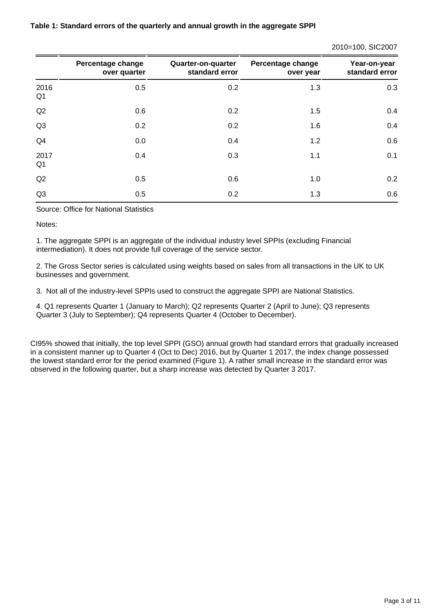|  |  | Table 1: Standard errors of the quarterly and annual growth in the aggregate SPPI |  |
|--|--|-----------------------------------------------------------------------------------|--|
|--|--|-----------------------------------------------------------------------------------|--|

#### 2010=100, SIC2007

|                        | Percentage change<br>over quarter | Quarter-on-quarter<br>standard error | Percentage change<br>over year | Year-on-year<br>standard error |
|------------------------|-----------------------------------|--------------------------------------|--------------------------------|--------------------------------|
| 2016<br>Q <sub>1</sub> | 0.5                               | 0.2                                  | 1.3                            | 0.3                            |
| Q2                     | 0.6                               | 0.2                                  | 1.5                            | 0.4                            |
| Q3                     | 0.2                               | 0.2                                  | 1.6                            | 0.4                            |
| Q4                     | 0.0                               | 0.4                                  | 1.2                            | 0.6                            |
| 2017<br>Q <sub>1</sub> | 0.4                               | 0.3                                  | 1.1                            | 0.1                            |
| Q2                     | 0.5                               | 0.6                                  | 1.0                            | 0.2                            |
| Q3                     | 0.5                               | 0.2                                  | 1.3                            | 0.6                            |

Source: Office for National Statistics

Notes:

1. The aggregate SPPI is an aggregate of the individual industry level SPPIs (excluding Financial intermediation). It does not provide full coverage of the service sector.

2. The Gross Sector series is calculated using weights based on sales from all transactions in the UK to UK businesses and government.

3. Not all of the industry-level SPPIs used to construct the aggregate SPPI are National Statistics.

4. Q1 represents Quarter 1 (January to March); Q2 represents Quarter 2 (April to June); Q3 represents Quarter 3 (July to September); Q4 represents Quarter 4 (October to December).

CI95% showed that initially, the top level SPPI (GSO) annual growth had standard errors that gradually increased in a consistent manner up to Quarter 4 (Oct to Dec) 2016, but by Quarter 1 2017, the index change possessed the lowest standard error for the period examined (Figure 1). A rather small increase in the standard error was observed in the following quarter, but a sharp increase was detected by Quarter 3 2017.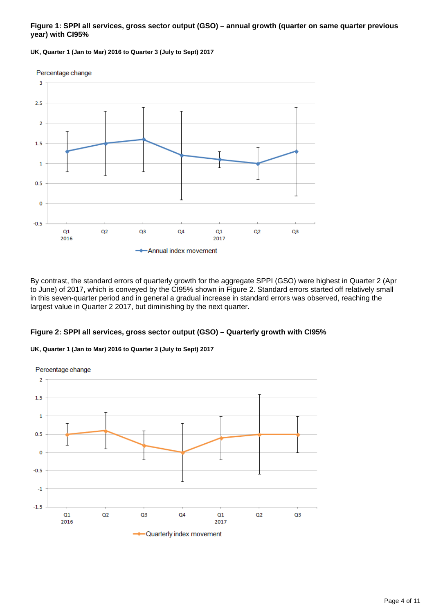#### **Figure 1: SPPI all services, gross sector output (GSO) – annual growth (quarter on same quarter previous year) with CI95%**

**UK, Quarter 1 (Jan to Mar) 2016 to Quarter 3 (July to Sept) 2017**



By contrast, the standard errors of quarterly growth for the aggregate SPPI (GSO) were highest in Quarter 2 (Apr to June) of 2017, which is conveyed by the CI95% shown in Figure 2. Standard errors started off relatively small in this seven-quarter period and in general a gradual increase in standard errors was observed, reaching the largest value in Quarter 2 2017, but diminishing by the next quarter.

#### **Figure 2: SPPI all services, gross sector output (GSO) – Quarterly growth with CI95%**



**UK, Quarter 1 (Jan to Mar) 2016 to Quarter 3 (July to Sept) 2017**

**Cuarterly index movement**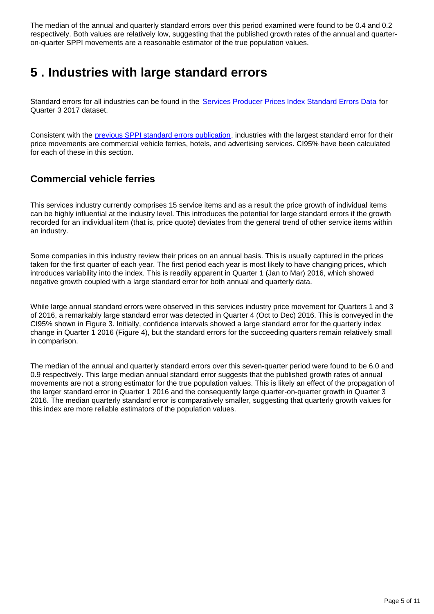The median of the annual and quarterly standard errors over this period examined were found to be 0.4 and 0.2 respectively. Both values are relatively low, suggesting that the published growth rates of the annual and quarteron-quarter SPPI movements are a reasonable estimator of the true population values.

## <span id="page-4-0"></span>**5 . Industries with large standard errors**

Standard errors for all industries can be found in the [Services Producer Prices Index Standard Errors Data](https://www.ons.gov.uk/economy/inflationandpriceindices/datasets/servicesproducerpricesindexstandarderrors) for Quarter 3 2017 dataset.

Consistent with the [previous SPPI standard errors publication](https://www.ons.gov.uk/releases/ukservicesproducerpriceindexsppi2012to2016), industries with the largest standard error for their price movements are commercial vehicle ferries, hotels, and advertising services. CI95% have been calculated for each of these in this section.

### **Commercial vehicle ferries**

This services industry currently comprises 15 service items and as a result the price growth of individual items can be highly influential at the industry level. This introduces the potential for large standard errors if the growth recorded for an individual item (that is, price quote) deviates from the general trend of other service items within an industry.

Some companies in this industry review their prices on an annual basis. This is usually captured in the prices taken for the first quarter of each year. The first period each year is most likely to have changing prices, which introduces variability into the index. This is readily apparent in Quarter 1 (Jan to Mar) 2016, which showed negative growth coupled with a large standard error for both annual and quarterly data.

While large annual standard errors were observed in this services industry price movement for Quarters 1 and 3 of 2016, a remarkably large standard error was detected in Quarter 4 (Oct to Dec) 2016. This is conveyed in the CI95% shown in Figure 3. Initially, confidence intervals showed a large standard error for the quarterly index change in Quarter 1 2016 (Figure 4), but the standard errors for the succeeding quarters remain relatively small in comparison.

The median of the annual and quarterly standard errors over this seven-quarter period were found to be 6.0 and 0.9 respectively. This large median annual standard error suggests that the published growth rates of annual movements are not a strong estimator for the true population values. This is likely an effect of the propagation of the larger standard error in Quarter 1 2016 and the consequently large quarter-on-quarter growth in Quarter 3 2016. The median quarterly standard error is comparatively smaller, suggesting that quarterly growth values for this index are more reliable estimators of the population values.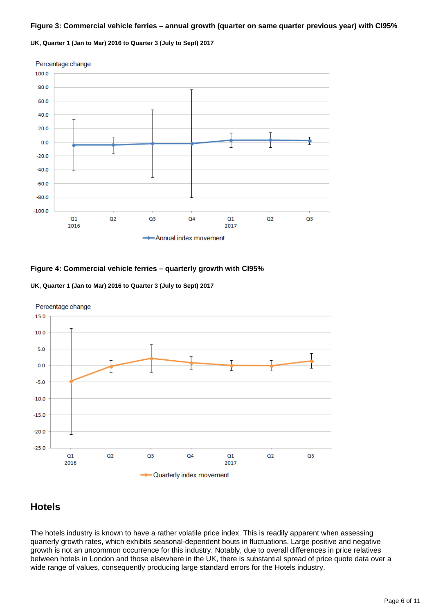#### **Figure 3: Commercial vehicle ferries – annual growth (quarter on same quarter previous year) with CI95%**

**UK, Quarter 1 (Jan to Mar) 2016 to Quarter 3 (July to Sept) 2017**



#### **Figure 4: Commercial vehicle ferries – quarterly growth with CI95%**





### **Hotels**

The hotels industry is known to have a rather volatile price index. This is readily apparent when assessing quarterly growth rates, which exhibits seasonal-dependent bouts in fluctuations. Large positive and negative growth is not an uncommon occurrence for this industry. Notably, due to overall differences in price relatives between hotels in London and those elsewhere in the UK, there is substantial spread of price quote data over a wide range of values, consequently producing large standard errors for the Hotels industry.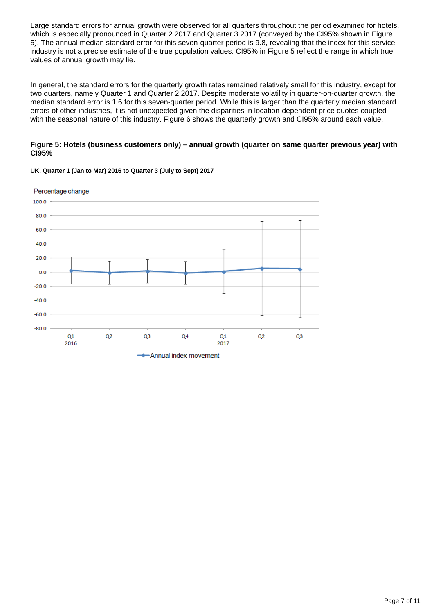Large standard errors for annual growth were observed for all quarters throughout the period examined for hotels, which is especially pronounced in Quarter 2 2017 and Quarter 3 2017 (conveyed by the CI95% shown in Figure 5). The annual median standard error for this seven-quarter period is 9.8, revealing that the index for this service industry is not a precise estimate of the true population values. CI95% in Figure 5 reflect the range in which true values of annual growth may lie.

In general, the standard errors for the quarterly growth rates remained relatively small for this industry, except for two quarters, namely Quarter 1 and Quarter 2 2017. Despite moderate volatility in quarter-on-quarter growth, the median standard error is 1.6 for this seven-quarter period. While this is larger than the quarterly median standard errors of other industries, it is not unexpected given the disparities in location-dependent price quotes coupled with the seasonal nature of this industry. Figure 6 shows the quarterly growth and CI95% around each value.

#### **Figure 5: Hotels (business customers only) – annual growth (quarter on same quarter previous year) with CI95%**



#### **UK, Quarter 1 (Jan to Mar) 2016 to Quarter 3 (July to Sept) 2017**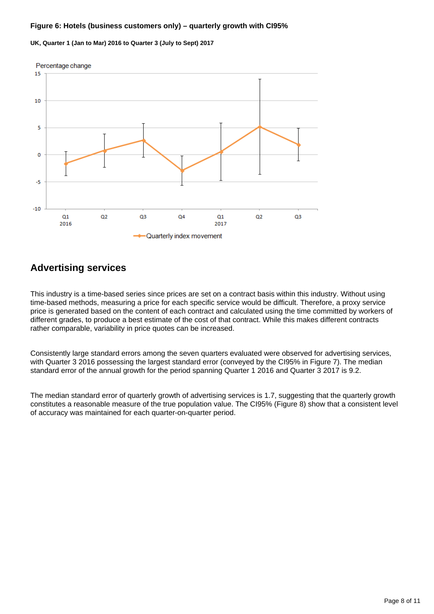#### **Figure 6: Hotels (business customers only) – quarterly growth with CI95%**

#### **UK, Quarter 1 (Jan to Mar) 2016 to Quarter 3 (July to Sept) 2017**



### **Advertising services**

This industry is a time-based series since prices are set on a contract basis within this industry. Without using time-based methods, measuring a price for each specific service would be difficult. Therefore, a proxy service price is generated based on the content of each contract and calculated using the time committed by workers of different grades, to produce a best estimate of the cost of that contract. While this makes different contracts rather comparable, variability in price quotes can be increased.

Consistently large standard errors among the seven quarters evaluated were observed for advertising services, with Quarter 3 2016 possessing the largest standard error (conveyed by the CI95% in Figure 7). The median standard error of the annual growth for the period spanning Quarter 1 2016 and Quarter 3 2017 is 9.2.

The median standard error of quarterly growth of advertising services is 1.7, suggesting that the quarterly growth constitutes a reasonable measure of the true population value. The CI95% (Figure 8) show that a consistent level of accuracy was maintained for each quarter-on-quarter period.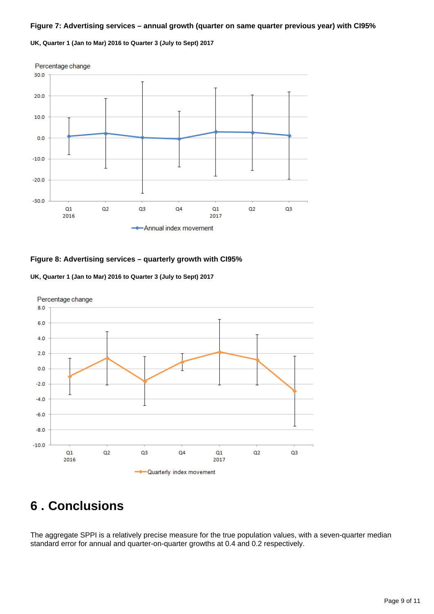#### **Figure 7: Advertising services – annual growth (quarter on same quarter previous year) with CI95%**

**UK, Quarter 1 (Jan to Mar) 2016 to Quarter 3 (July to Sept) 2017**



#### **Figure 8: Advertising services – quarterly growth with CI95%**





## <span id="page-8-0"></span>**6 . Conclusions**

The aggregate SPPI is a relatively precise measure for the true population values, with a seven-quarter median standard error for annual and quarter-on-quarter growths at 0.4 and 0.2 respectively.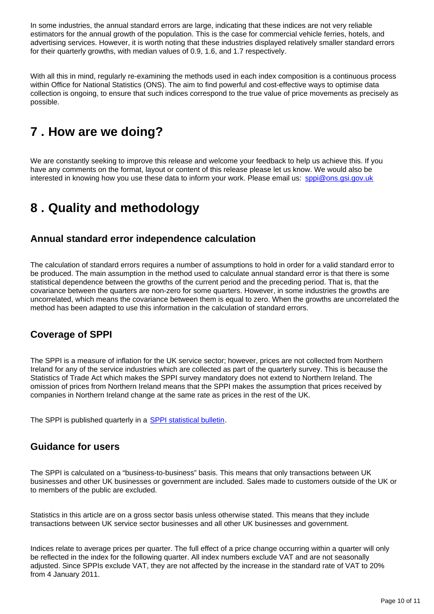In some industries, the annual standard errors are large, indicating that these indices are not very reliable estimators for the annual growth of the population. This is the case for commercial vehicle ferries, hotels, and advertising services. However, it is worth noting that these industries displayed relatively smaller standard errors for their quarterly growths, with median values of 0.9, 1.6, and 1.7 respectively.

With all this in mind, regularly re-examining the methods used in each index composition is a continuous process within Office for National Statistics (ONS). The aim to find powerful and cost-effective ways to optimise data collection is ongoing, to ensure that such indices correspond to the true value of price movements as precisely as possible.

## <span id="page-9-0"></span>**7 . How are we doing?**

We are constantly seeking to improve this release and welcome your feedback to help us achieve this. If you have any comments on the format, layout or content of this release please let us know. We would also be interested in knowing how you use these data to inform your work. Please email us: sppi@ons.gsi.gov.uk

## <span id="page-9-1"></span>**8 . Quality and methodology**

### **Annual standard error independence calculation**

The calculation of standard errors requires a number of assumptions to hold in order for a valid standard error to be produced. The main assumption in the method used to calculate annual standard error is that there is some statistical dependence between the growths of the current period and the preceding period. That is, that the covariance between the quarters are non-zero for some quarters. However, in some industries the growths are uncorrelated, which means the covariance between them is equal to zero. When the growths are uncorrelated the method has been adapted to use this information in the calculation of standard errors.

### **Coverage of SPPI**

The SPPI is a measure of inflation for the UK service sector; however, prices are not collected from Northern Ireland for any of the service industries which are collected as part of the quarterly survey. This is because the Statistics of Trade Act which makes the SPPI survey mandatory does not extend to Northern Ireland. The omission of prices from Northern Ireland means that the SPPI makes the assumption that prices received by companies in Northern Ireland change at the same rate as prices in the rest of the UK.

The SPPI is published quarterly in a [SPPI statistical bulletin](https://www.ons.gov.uk/economy/inflationandpriceindices/bulletins/servicesproducerpriceindices/quarter1jantomar2016).

### **Guidance for users**

The SPPI is calculated on a "business-to-business" basis. This means that only transactions between UK businesses and other UK businesses or government are included. Sales made to customers outside of the UK or to members of the public are excluded.

Statistics in this article are on a gross sector basis unless otherwise stated. This means that they include transactions between UK service sector businesses and all other UK businesses and government.

Indices relate to average prices per quarter. The full effect of a price change occurring within a quarter will only be reflected in the index for the following quarter. All index numbers exclude VAT and are not seasonally adjusted. Since SPPIs exclude VAT, they are not affected by the increase in the standard rate of VAT to 20% from 4 January 2011.